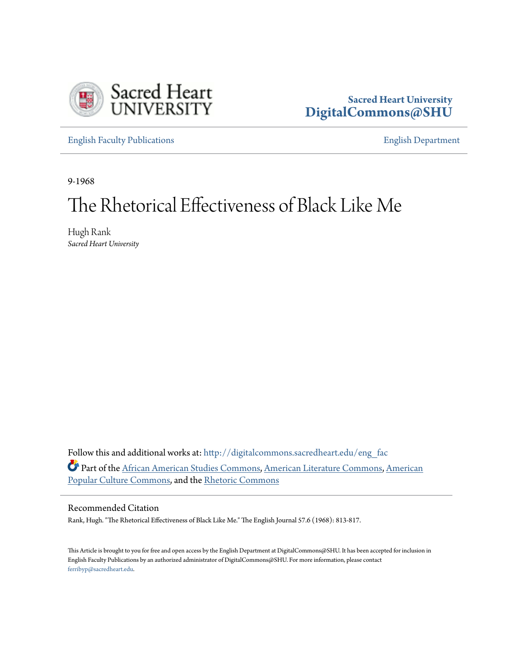

## **Sacred Heart University [DigitalCommons@SHU](http://digitalcommons.sacredheart.edu?utm_source=digitalcommons.sacredheart.edu%2Feng_fac%2F85&utm_medium=PDF&utm_campaign=PDFCoverPages)**

[English Faculty Publications](http://digitalcommons.sacredheart.edu/eng_fac?utm_source=digitalcommons.sacredheart.edu%2Feng_fac%2F85&utm_medium=PDF&utm_campaign=PDFCoverPages) [English Department](http://digitalcommons.sacredheart.edu/eng?utm_source=digitalcommons.sacredheart.edu%2Feng_fac%2F85&utm_medium=PDF&utm_campaign=PDFCoverPages)

9-1968

# The Rhetorical Effectiveness of Black Like Me

Hugh Rank *Sacred Heart University*

Follow this and additional works at: [http://digitalcommons.sacredheart.edu/eng\\_fac](http://digitalcommons.sacredheart.edu/eng_fac?utm_source=digitalcommons.sacredheart.edu%2Feng_fac%2F85&utm_medium=PDF&utm_campaign=PDFCoverPages) Part of the [African American Studies Commons,](http://network.bepress.com/hgg/discipline/567?utm_source=digitalcommons.sacredheart.edu%2Feng_fac%2F85&utm_medium=PDF&utm_campaign=PDFCoverPages) [American Literature Commons](http://network.bepress.com/hgg/discipline/441?utm_source=digitalcommons.sacredheart.edu%2Feng_fac%2F85&utm_medium=PDF&utm_campaign=PDFCoverPages), [American](http://network.bepress.com/hgg/discipline/443?utm_source=digitalcommons.sacredheart.edu%2Feng_fac%2F85&utm_medium=PDF&utm_campaign=PDFCoverPages) [Popular Culture Commons](http://network.bepress.com/hgg/discipline/443?utm_source=digitalcommons.sacredheart.edu%2Feng_fac%2F85&utm_medium=PDF&utm_campaign=PDFCoverPages), and the [Rhetoric Commons](http://network.bepress.com/hgg/discipline/575?utm_source=digitalcommons.sacredheart.edu%2Feng_fac%2F85&utm_medium=PDF&utm_campaign=PDFCoverPages)

### Recommended Citation

Rank, Hugh. "The Rhetorical Effectiveness of Black Like Me." The English Journal 57.6 (1968): 813-817.

This Article is brought to you for free and open access by the English Department at DigitalCommons@SHU. It has been accepted for inclusion in English Faculty Publications by an authorized administrator of DigitalCommons@SHU. For more information, please contact [ferribyp@sacredheart.edu](mailto:ferribyp@sacredheart.edu).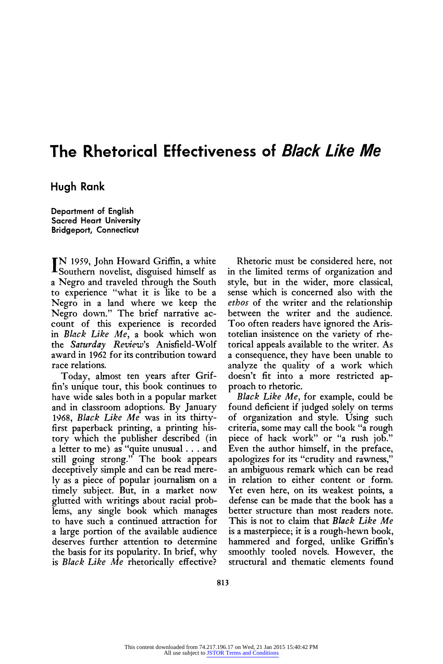## **The Rhetorical Effectiveness of Black Like Me**

**Hugh Rank** 

**Department of English Sacred Heart University Bridgeport, Connecticut** 

**N 1959, John Howard Griffin, a white Southern novelist, disguised himself as a Negro and traveled through the South to experience "what it is like to be a Negro in a land where we keep the Negro down." The brief narrative account of this experience is recorded in Black Like Me, a book which won the Saturday Review's Anisfield-Wolf award in 1962 for its contribution toward race relations.** 

**Today, almost ten years after Griffin's unique tour, this book continues to have wide sales both in a popular market and in classroom adoptions. By January 1968, Black Like Me was in its thirtyfirst paperback printing, a printing history which the publisher described (in a letter to me) as "quite unusual ... and still going strong." The book appears deceptively simple and can be read merely as a piece of popular journalism on a timely subject. But, in a market now glutted with writings about racial problems, any single book which manages to have such a continued attraction for a large portion of the available audience deserves further attention to determine the basis for its popularity. In brief, why is Black Like Me rhetorically effective?** 

**Rhetoric must be considered here, not in the limited terms of organization and style, but in the wider, more classical, sense which is concerned also with the ethos of the writer and the relationship between the writer and the audience. Too often readers have ignored the Aristotelian insistence on the variety of rhetorical appeals available to the writer. As a consequence, they have been unable to analyze the quality of a work which doesn't fit into a more restricted approach to rhetoric.** 

**Black Like Me, for example, could be found deficient if judged solely on terms of organization and style. Using such criteria, some may call the book "a rough piece of hack work" or "a rush job." Even the author himself, in the preface, apologizes for its "crudity and rawness," an ambiguous remark which can be read in relation to either content or form. Yet even here, on its weakest points, a defense can be made that the book has a better structure than most readers note. This is not to claim that Black Like Me is a masterpiece; it is a rough-hewn book, hammered and forged, unlike Griffin's smoothly tooled novels. However, the structural and thematic elements found**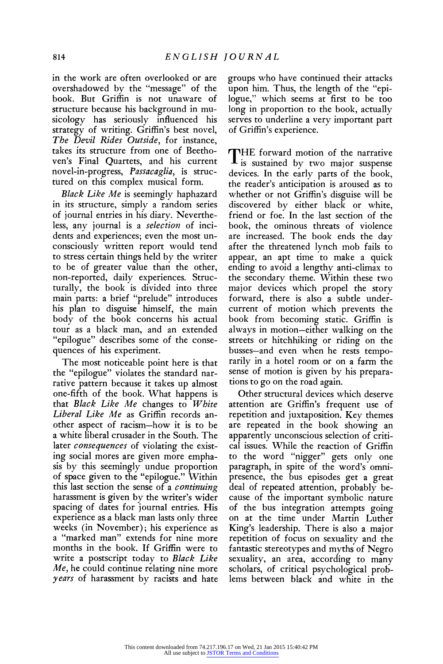**in the work are often overlooked or are overshadowed by the "message" of the book. But Griffin is not unaware of structure because his background in musicology has seriously influenced his strategy of writing. Griffin's best novel, The Devil Rides Outside, for instance, takes its structure from one of Beethoven's Final Quartets, and his current novel-in-progress, Passacaglia, is structured on this complex musical form.** 

**Black Like Me is seemingly haphazard in its structure, simply a random series of journal entries in his diary. Nevertheless, any journal is a selection of incidents and experiences; even the most unconsciously written report would tend to stress certain things held by the writer to be of greater value than the other, non-reported, daily experiences. Structurally, the book is divided into three main parts: a brief "prelude" introduces his plan to disguise himself, the main body of the book concerns his actual tour as a black man, and an extended "epilogue" describes some of the consequences of his experiment.** 

**The most noticeable point here is that the "epilogue" violates the standard narrative pattern because it takes up almost one-fifth of the book. What happens is that Black Like Me changes to White Liberal Like Me as Griffin records another aspect of racism-how it is to be a white liberal crusader in the South. The later consequences of violating the existing social mores are given more emphasis by this seemingly undue proportion of space given to the "epilogue." Within this last section the sense of a continuing harassment is given by the writer's wider spacing of dates for journal entries. His experience as a black man lasts only three weeks (in November); his experience as a "marked man" extends for nine more months in the book. If Griffin were to write a postscript today to Black Like Me, he could continue relating nine more years of harassment by racists and hate**  **groups who have continued their attacks upon him. Thus, the length of the "epilogue," which seems at first to be too long in proportion to the book, actually serves to underline a very important part of Griffin's experience.** 

**T HE forward motion of the narrative is sustained by two major suspense devices. In the early parts of the book, the reader's anticipation is aroused as to whether or not Griffin's disguise will be discovered by either black or white, friend or foe. In the last section of the book, the ominous threats of violence are increased. The book ends the day after the threatened lynch mob fails to appear, an apt time to make a quick ending to avoid a lengthy anti-climax to the secondary theme. Within these two major devices which propel the story forward, there is also a subtle undercurrent of motion which prevents the book from becoming static. Griffin is always in motion-either walking on the streets or hitchhiking or riding on the busses-and even when he rests temporarily in a hotel room or on a farm the sense of motion is given by his preparations to go on the road again.** 

**Other structural devices which deserve attention are Griffin's frequent use of repetition and juxtaposition. Key themes are repeated in the book showing an apparently unconscious selection of critical issues. While the reaction of Griffin to the word "nigger" gets only one paragraph, in spite of the word's omnipresence, the bus episodes get a great deal of repeated attention, probably because of the important symbolic nature of the bus integration attempts going on at the time under Martin Luther King's leadership. There is also a major repetition of focus on sexuality and the fantastic stereotypes and myths of Negro sexuality, an area, according to many scholars, of critical psychological problems between black and white in the**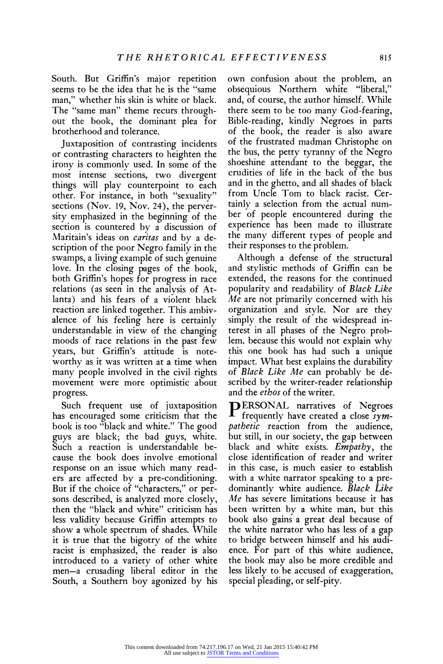**South. But Griffin's major repetition seems to be the idea that he is the "same man," whether his skin is white or black. The "same man" theme recurs throughout the book, the dominant plea for brotherhood and tolerance.** 

**Juxtaposition of contrasting incidents or contrasting characters to heighten the irony is commonly used. In some of the most intense sections, two divergent things will play counterpoint to each other. For instance, in both "sexuality" sections (Nov. 19, Nov. 24), the perversity emphasized in the beginning of the section is countered by a discussion of Maritain's ideas on caritas and by a description of the poor Negro family in the swamps, a living example of such genuine love. In the closing pages of the book, both Griffin's hopes for progress in race relations (as seen in the analysis of Atlanta) and his fears of a violent black reaction are linked together. This ambivalence of his feeling here is certainly understandable in view of the changing moods of race relations in the past few years, but Griffin's attitude is noteworthy as it was written at a time when many people involved in the civil rights movement were more optimistic about progress.** 

**Such frequent use of juxtaposition has encouraged some criticism that the book is too "black and white." The good guys are black; the bad guys, white. Such a reaction is understandable because the book does involve emotional response on an issue which many readers are affected by a pre-conditioning. But if the choice of "characters," or persons described, is analyzed more closely, then the "black and white" criticism has less validity because Griffin attempts to show a whole spectrum of shades. While it is true that the bigotry of the white racist is emphasized, the reader is also introduced to a variety of other white men-a crusading liberal editor in the South, a Southern boy agonized by his**  **own confusion about the problem, an obsequious Northern white "liberal," and, of course, the author himself. While there seem to be too many God-fearing, Bible-reading, kindly Negroes in parts of the book, the reader is also aware of the frustrated madman Christophe on the bus, the petty tyranny of the Negro shoeshine attendant to the beggar, the crudities of life in the back of the bus and in the ghetto, and all shades of black from Uncle Tom to black racist. Certainly a selection from the actual number of people encountered during the experience has been made to illustrate the many different types of people and their responses to the problem.** 

**Although a defense of the structural and stylistic methods of Griffin can be extended, the reasons for the continued popularity and readability of Black Like Me are not primarily concerned with his organization and style. Nor are they simply the result of the widespread interest in all phases of the Negro problem, because this would not explain why this one book has had such a unique impact. What best explains the durability of Black Like Me can probably be described by the writer-reader relationship and the ethos of the writer.** 

**PERSONAL narratives of Negroes frequently have created a close sympathetic reaction from the audience, but still, in our society, the gap between black and white exists. Empathy, the close identification of reader and writer in this case, is much easier to establish with a white narrator speaking to a predominantly white audience. Black Like Me has severe limitations because it has been written by a white man, but this book also gains a great deal because of the white narrator who has less of a gap to bridge between himself and his audience. For part of this white audience, the book may also be more credible and less likely to be accused of exaggeration, special pleading, or self-pity.**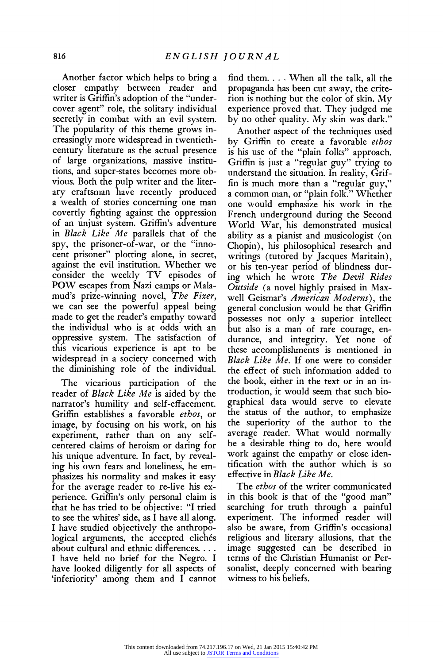**Another factor which helps to bring a closer empathy between reader and writer is Griffin's adoption of the "undercover agent" role, the solitary individual secretly in combat with an evil system. The popularity of this theme grows increasingly more widespread in twentiethcentury literature as the actual presence of large organizations, massive institutions, and super-states becomes more obvious. Both the pulp writer and the literary craftsman have recently produced a wealth of stories concerning one man covertly fighting against the oppression of an unjust system. Griffin's adventure in Black Like Me parallels that of the spy, the prisoner-of-war, or the "innocent prisoner" plotting alone, in secret, against the evil institution. Whether we consider the weekly TV episodes of POW escapes from Nazi camps or Malamud's prize-winning novel, The Fixer, we can see the powerful appeal being made to get the reader's empathy toward the individual who is at odds with an oppressive system. The satisfaction of this vicarious experience is apt to be widespread in a society concerned with the diminishing role of the individual.** 

**The vicarious participation of the reader of Black Like Me is aided by the narrator's humility and self-effacement. Griffin establishes a favorable ethos, or image, by focusing on his work, on his experiment, rather than on any selfcentered claims of heroism or daring for his unique adventure. In fact, by revealing his own fears and loneliness, he emphasizes his normality and makes it easy for the average reader to re-live his experience. Griffin's only personal claim is that he has tried to be objective: "I tried to see the whites' side, as I have all along. I have studied objectively the anthropo**logical arguments, the accepted clichés **about cultural and ethnic differences. ... I have held no brief for the Negro. I have looked diligently for all aspects of 'inferiority' among them and I cannot** 

**find them. .... When all the talk, all the propaganda has been cut away, the criterion is nothing but the color of skin. My experience proved that. They judged me by no other quality. My skin was dark."** 

**Another aspect of the techniques used by Griffin to create a favorable ethos is his use of the "plain folks" approach. Griffin is just a "regular guy" trying to understand the situation. In reality, Griffin is much more than a "regular guy," a common man, or "plain folk." Whether one would emphasize his work in the French underground during the Second World War, his demonstrated musical ability as a pianist and musicologist (on Chopin), his philosophical research and writings (tutored by Jacques Maritain), or his ten-year period of blindness during which he wrote The Devil Rides Outside (a novel highly praised in Maxwell Geismar's American Moderns), the general conclusion would be that Griffin possesses not only a superior intellect but also is a man of rare courage, endurance, and integrity. Yet none of these accomplishments is mentioned in Black Like Me. If one were to consider the effect of such information added to the book, either in the text or in an introduction, it would seem that such biographical data would serve to elevate the status of the author, to emphasize the superiority of the author to the average reader. What would normally be a desirable thing to do, here would work against the empathy or close identification with the author which is so effective in Black Like Me.** 

**The ethos of the writer communicated in this book is that of the "good man" searching for truth through a painful experiment. The informed reader will also be aware, from Griffin's occasional religious and literary allusions, that the image suggested can be described in terms of the Christian Humanist or Personalist, deeply concerned with bearing witness to his beliefs.**